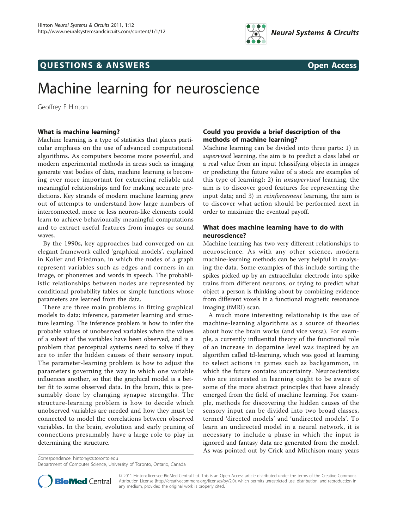

## **QUESTIONS & ANSWERS** Open Access

# Machine learning for neuroscience

Geoffrey E Hinton

#### What is machine learning?

Machine learning is a type of statistics that places particular emphasis on the use of advanced computational algorithms. As computers become more powerful, and modern experimental methods in areas such as imaging generate vast bodies of data, machine learning is becoming ever more important for extracting reliable and meaningful relationships and for making accurate predictions. Key strands of modern machine learning grew out of attempts to understand how large numbers of interconnected, more or less neuron-like elements could learn to achieve behaviourally meaningful computations and to extract useful features from images or sound waves.

By the 1990s, key approaches had converged on an elegant framework called 'graphical models', explained in Koller and Friedman, in which the nodes of a graph represent variables such as edges and corners in an image, or phonemes and words in speech. The probabilistic relationships between nodes are represented by conditional probability tables or simple functions whose parameters are learned from the data.

There are three main problems in fitting graphical models to data: inference, parameter learning and structure learning. The inference problem is how to infer the probable values of unobserved variables when the values of a subset of the variables have been observed, and is a problem that perceptual systems need to solve if they are to infer the hidden causes of their sensory input. The parameter-learning problem is how to adjust the parameters governing the way in which one variable influences another, so that the graphical model is a better fit to some observed data. In the brain, this is presumably done by changing synapse strengths. The structure-learning problem is how to decide which unobserved variables are needed and how they must be connected to model the correlations between observed variables. In the brain, evolution and early pruning of connections presumably have a large role to play in determining the structure.

#### Could you provide a brief description of the methods of machine learning?

Machine learning can be divided into three parts: 1) in supervised learning, the aim is to predict a class label or a real value from an input (classifying objects in images or predicting the future value of a stock are examples of this type of learning); 2) in unsupervised learning, the aim is to discover good features for representing the input data; and 3) in *reinforcement* learning, the aim is to discover what action should be performed next in order to maximize the eventual payoff.

### What does machine learning have to do with neuroscience?

Machine learning has two very different relationships to neuroscience. As with any other science, modern machine-learning methods can be very helpful in analysing the data. Some examples of this include sorting the spikes picked up by an extracellular electrode into spike trains from different neurons, or trying to predict what object a person is thinking about by combining evidence from different voxels in a functional magnetic resonance imaging (fMRI) scan.

A much more interesting relationship is the use of machine-learning algorithms as a source of theories about how the brain works (and vice versa). For example, a currently influential theory of the functional role of an increase in dopamine level was inspired by an algorithm called td-learning, which was good at learning to select actions in games such as backgammon, in which the future contains uncertainty. Neuroscientists who are interested in learning ought to be aware of some of the more abstract principles that have already emerged from the field of machine learning. For example, methods for discovering the hidden causes of the sensory input can be divided into two broad classes, termed 'directed models' and 'undirected models'. To learn an undirected model in a neural network, it is necessary to include a phase in which the input is ignored and fantasy data are generated from the model. As was pointed out by Crick and Mitchison many years

Department of Computer Science, University of Toronto, Ontario, Canada



© 2011 Hinton; licensee BioMed Central Ltd. This is an Open Access article distributed under the terms of the Creative Commons Attribution License [\(http://creativecommons.org/licenses/by/2.0](http://creativecommons.org/licenses/by/2.0)), which permits unrestricted use, distribution, and reproduction in any medium, provided the original work is properly cited.

Correspondence: [hinton@cs.toronto.edu](mailto:hinton@cs.toronto.edu)